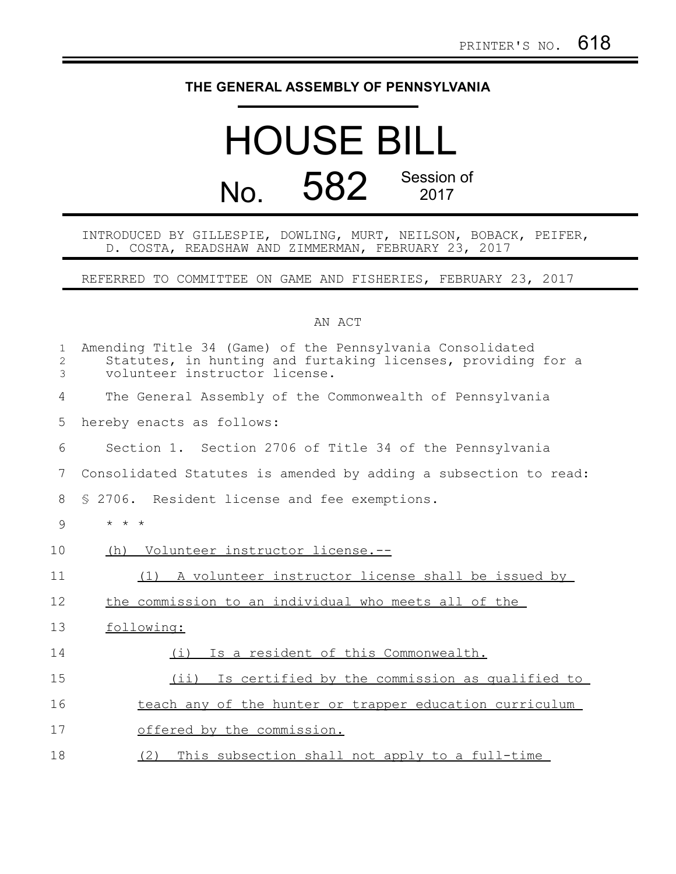## **THE GENERAL ASSEMBLY OF PENNSYLVANIA**

## HOUSE BILL No. 582 Session of

INTRODUCED BY GILLESPIE, DOWLING, MURT, NEILSON, BOBACK, PEIFER, D. COSTA, READSHAW AND ZIMMERMAN, FEBRUARY 23, 2017

REFERRED TO COMMITTEE ON GAME AND FISHERIES, FEBRUARY 23, 2017

## AN ACT

| $\mathbf 1$<br>2<br>3 | Amending Title 34 (Game) of the Pennsylvania Consolidated<br>Statutes, in hunting and furtaking licenses, providing for a<br>volunteer instructor license. |
|-----------------------|------------------------------------------------------------------------------------------------------------------------------------------------------------|
| 4                     | The General Assembly of the Commonwealth of Pennsylvania                                                                                                   |
| 5                     | hereby enacts as follows:                                                                                                                                  |
| 6                     | Section 1. Section 2706 of Title 34 of the Pennsylvania                                                                                                    |
| 7                     | Consolidated Statutes is amended by adding a subsection to read:                                                                                           |
| 8                     | § 2706. Resident license and fee exemptions.                                                                                                               |
| 9                     | $* * *$                                                                                                                                                    |
| 10                    | (h) Volunteer instructor license.--                                                                                                                        |
| 11                    | (1) A volunteer instructor license shall be issued by                                                                                                      |
| 12                    | the commission to an individual who meets all of the                                                                                                       |
| 13                    | following:                                                                                                                                                 |
| 14                    | Is a resident of this Commonwealth.<br>(i)                                                                                                                 |
| 15                    | $(i$ ii)<br>Is certified by the commission as qualified to                                                                                                 |
| 16                    | teach any of the hunter or trapper education curriculum                                                                                                    |
| 17                    | offered by the commission.                                                                                                                                 |
| 18                    | This subsection shall not apply to a full-time<br>(2)                                                                                                      |